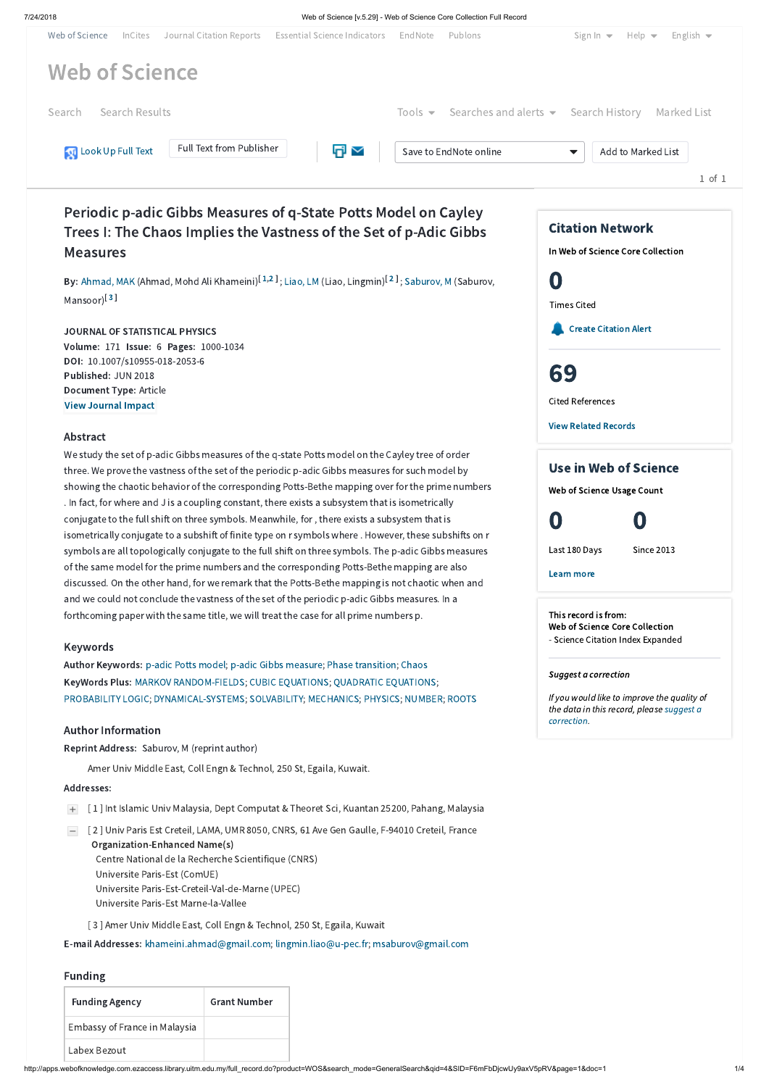#### 7/24/2018 Web of Science [v.5.29] - Web of Science Core Collection Full Record

# Periodic p-adic Gibbs Measures of q-State Potts Model on Cayley Trees I: The Chaos Implies the Vastness of the Set of p-Adic Gibbs Measures

**By:** [Ahmad,](http://apps.webofknowledge.com.ezaccess.library.uitm.edu.my/DaisyOneClickSearch.do?product=WOS&search_mode=DaisyOneClickSearch&colName=WOS&SID=F6mFbDjcwUy9axV5pRV&author_name=Ahmad,%20MAK&dais_id=5294962&excludeEventConfig=ExcludeIfFromFullRecPage) MAK (Ahmad, Mohd Ali Khameini)<sup>[[1](javascript:sup_focus(),[2](javascript:sup_focus()]</sup>; [Liao,](http://apps.webofknowledge.com.ezaccess.library.uitm.edu.my/DaisyOneClickSearch.do?product=WOS&search_mode=DaisyOneClickSearch&colName=WOS&SID=F6mFbDjcwUy9axV5pRV&author_name=Liao,%20LM&dais_id=824571&excludeEventConfig=ExcludeIfFromFullRecPage) LM (Liao, Lingmin)<sup>[2]</sup>; [Saburov,](http://apps.webofknowledge.com.ezaccess.library.uitm.edu.my/DaisyOneClickSearch.do?product=WOS&search_mode=DaisyOneClickSearch&colName=WOS&SID=F6mFbDjcwUy9axV5pRV&author_name=Saburov,%20M&dais_id=766467&excludeEventConfig=ExcludeIfFromFullRecPage) M (Saburov, Mansoor)<sup>[[3](javascript:sup_focus()]</sup>

### JOURNAL OF STATISTICAL PHYSICS

Volume: 171 Issue: 6 Pages: 1000-1034 DOI: 10.1007/s10955-018-2053-6 Published: JUN 2018 Document Type: Article [View Journal](javascript:;) Impact

#### Abstract

We study the set of p-adic Gibbs measures of the q-state Potts model on the Cayley tree of order three. We prove the vastness of the set of the periodic p-adic Gibbs measures for such model by showing the chaotic behavior of the corresponding Potts-Bethe mapping over for the prime numbers . In fact, for where and J is a coupling constant, there exists a subsystem that is isometrically conjugate to the full shift on three symbols. Meanwhile, for, there exists a subsystem that is isometrically conjugate to a subshift of finite type on r symbols where . However, these subshifts on r symbols are all topologically conjugate to the full shift on three symbols. The p-adic Gibbs measures of the same model for the prime numbers and the corresponding Potts-Bethe mapping are also discussed. On the other hand, for we remark that the Potts-Bethe mapping is not chaotic when and and we could not conclude the vastness of the set of the periodic p-adic Gibbs measures. In a forthcoming paper with the same title, we will treat the case for all prime numbers p.

#### Keywords

| Journal Citation Reports<br>Web of Science<br>InCites  | <b>Essential Science Indicators</b> | EndNote | Publons                                                                              | Sign In $\blacktriangleright$ Help $\blacktriangleright$ English $\blacktriangleright$ |             |
|--------------------------------------------------------|-------------------------------------|---------|--------------------------------------------------------------------------------------|----------------------------------------------------------------------------------------|-------------|
| <b>Web of Science</b>                                  |                                     |         |                                                                                      |                                                                                        |             |
| Search Results<br>Search                               |                                     |         | Tools $\blacktriangleright$ Searches and alerts $\blacktriangleright$ Search History |                                                                                        | Marked List |
| Full Text from Publisher<br><b>N</b> Look Up Full Text | $\overline{E}$                      |         | Save to EndNote online                                                               | Add to Marked List<br>$\blacktriangledown$                                             | 1 of 1      |

Author Keywords: p-adic Potts [model;](http://apps.webofknowledge.com.ezaccess.library.uitm.edu.my/OneClickSearch.do?product=WOS&search_mode=OneClickSearch&excludeEventConfig=ExcludeIfFromFullRecPage&colName=WOS&SID=F6mFbDjcwUy9axV5pRV&field=TS&value=p-adic+Potts+model&uncondQuotes=true) p-adic Gibbs [measure;](http://apps.webofknowledge.com.ezaccess.library.uitm.edu.my/OneClickSearch.do?product=WOS&search_mode=OneClickSearch&excludeEventConfig=ExcludeIfFromFullRecPage&colName=WOS&SID=F6mFbDjcwUy9axV5pRV&field=TS&value=p-adic+Gibbs+measure&uncondQuotes=true) Phase [transition;](http://apps.webofknowledge.com.ezaccess.library.uitm.edu.my/OneClickSearch.do?product=WOS&search_mode=OneClickSearch&excludeEventConfig=ExcludeIfFromFullRecPage&colName=WOS&SID=F6mFbDjcwUy9axV5pRV&field=TS&value=Phase+transition&uncondQuotes=true) [Chaos](http://apps.webofknowledge.com.ezaccess.library.uitm.edu.my/OneClickSearch.do?product=WOS&search_mode=OneClickSearch&excludeEventConfig=ExcludeIfFromFullRecPage&colName=WOS&SID=F6mFbDjcwUy9axV5pRV&field=TS&value=Chaos&uncondQuotes=true) KeyWords Plus: MARKOV [RANDOM-FIELDS](http://apps.webofknowledge.com.ezaccess.library.uitm.edu.my/OneClickSearch.do?product=WOS&search_mode=OneClickSearch&excludeEventConfig=ExcludeIfFromFullRecPage&colName=WOS&SID=F6mFbDjcwUy9axV5pRV&field=TS&value=MARKOV+RANDOM-FIELDS&uncondQuotes=true); CUBIC [EQUATIONS](http://apps.webofknowledge.com.ezaccess.library.uitm.edu.my/OneClickSearch.do?product=WOS&search_mode=OneClickSearch&excludeEventConfig=ExcludeIfFromFullRecPage&colName=WOS&SID=F6mFbDjcwUy9axV5pRV&field=TS&value=CUBIC+EQUATIONS&uncondQuotes=true); QUADRATIC [EQUATIONS](http://apps.webofknowledge.com.ezaccess.library.uitm.edu.my/OneClickSearch.do?product=WOS&search_mode=OneClickSearch&excludeEventConfig=ExcludeIfFromFullRecPage&colName=WOS&SID=F6mFbDjcwUy9axV5pRV&field=TS&value=QUADRATIC+EQUATIONS&uncondQuotes=true); [PROBABILITY](http://apps.webofknowledge.com.ezaccess.library.uitm.edu.my/OneClickSearch.do?product=WOS&search_mode=OneClickSearch&excludeEventConfig=ExcludeIfFromFullRecPage&colName=WOS&SID=F6mFbDjcwUy9axV5pRV&field=TS&value=PROBABILITY+LOGIC&uncondQuotes=true) LOGIC; [DYNAMICAL-SYSTEMS;](http://apps.webofknowledge.com.ezaccess.library.uitm.edu.my/OneClickSearch.do?product=WOS&search_mode=OneClickSearch&excludeEventConfig=ExcludeIfFromFullRecPage&colName=WOS&SID=F6mFbDjcwUy9axV5pRV&field=TS&value=DYNAMICAL-SYSTEMS&uncondQuotes=true) [SOLVABILITY](http://apps.webofknowledge.com.ezaccess.library.uitm.edu.my/OneClickSearch.do?product=WOS&search_mode=OneClickSearch&excludeEventConfig=ExcludeIfFromFullRecPage&colName=WOS&SID=F6mFbDjcwUy9axV5pRV&field=TS&value=SOLVABILITY&uncondQuotes=true); [MECHANICS;](http://apps.webofknowledge.com.ezaccess.library.uitm.edu.my/OneClickSearch.do?product=WOS&search_mode=OneClickSearch&excludeEventConfig=ExcludeIfFromFullRecPage&colName=WOS&SID=F6mFbDjcwUy9axV5pRV&field=TS&value=MECHANICS&uncondQuotes=true) [PHYSICS;](http://apps.webofknowledge.com.ezaccess.library.uitm.edu.my/OneClickSearch.do?product=WOS&search_mode=OneClickSearch&excludeEventConfig=ExcludeIfFromFullRecPage&colName=WOS&SID=F6mFbDjcwUy9axV5pRV&field=TS&value=PHYSICS&uncondQuotes=true) [NUMBER](http://apps.webofknowledge.com.ezaccess.library.uitm.edu.my/OneClickSearch.do?product=WOS&search_mode=OneClickSearch&excludeEventConfig=ExcludeIfFromFullRecPage&colName=WOS&SID=F6mFbDjcwUy9axV5pRV&field=TS&value=NUMBER&uncondQuotes=true); [ROOTS](http://apps.webofknowledge.com.ezaccess.library.uitm.edu.my/OneClickSearch.do?product=WOS&search_mode=OneClickSearch&excludeEventConfig=ExcludeIfFromFullRecPage&colName=WOS&SID=F6mFbDjcwUy9axV5pRV&field=TS&value=ROOTS&uncondQuotes=true)

#### Author Information

Reprint Address: Saburov, M (reprint author)

Amer Univ Middle East, Coll Engn & Technol, 250 St, Egaila, Kuwait.

#### Addresses:

[ 1 ] Int Islamic Univ Malaysia, Dept Computat & Theoret Sci, Kuantan 25200, Pahang, Malaysia

[ 2 ] Univ Paris Est Creteil, LAMA, UMR 8050, CNRS, 61 Ave Gen Gaulle, F-94010 Creteil, France

Organization-Enhanced Name(s)

Centre National de la Recherche Scientifique (CNRS)

Universite Paris-Est (ComUE)

Universite Paris-Est-Creteil-Val-de-Marne (UPEC)

Universite Paris-Est Marne-la-Vallee

[ 3 ] Amer Univ Middle East, Coll Engn & Technol, 250 St, Egaila, Kuwait

E-mail Addresses: [khameini.ahmad@gmail.com;](mailto:khameini.ahmad@gmail.com) [lingmin.liao@u-pec.fr;](mailto:lingmin.liao@u-pec.fr) [msaburov@gmail.com](mailto:msaburov@gmail.com)

## Funding

| <b>Funding Agency</b>         | <b>Grant Number</b> |
|-------------------------------|---------------------|
| Embassy of France in Malaysia |                     |
| Labex Bezout                  |                     |

This record is from: Web of Science Core Collection - Science Citation Index Expanded

#### Suggest a correction



If you would like to improve the quality of the data in this record, please suggest a [correction.](javascript:;)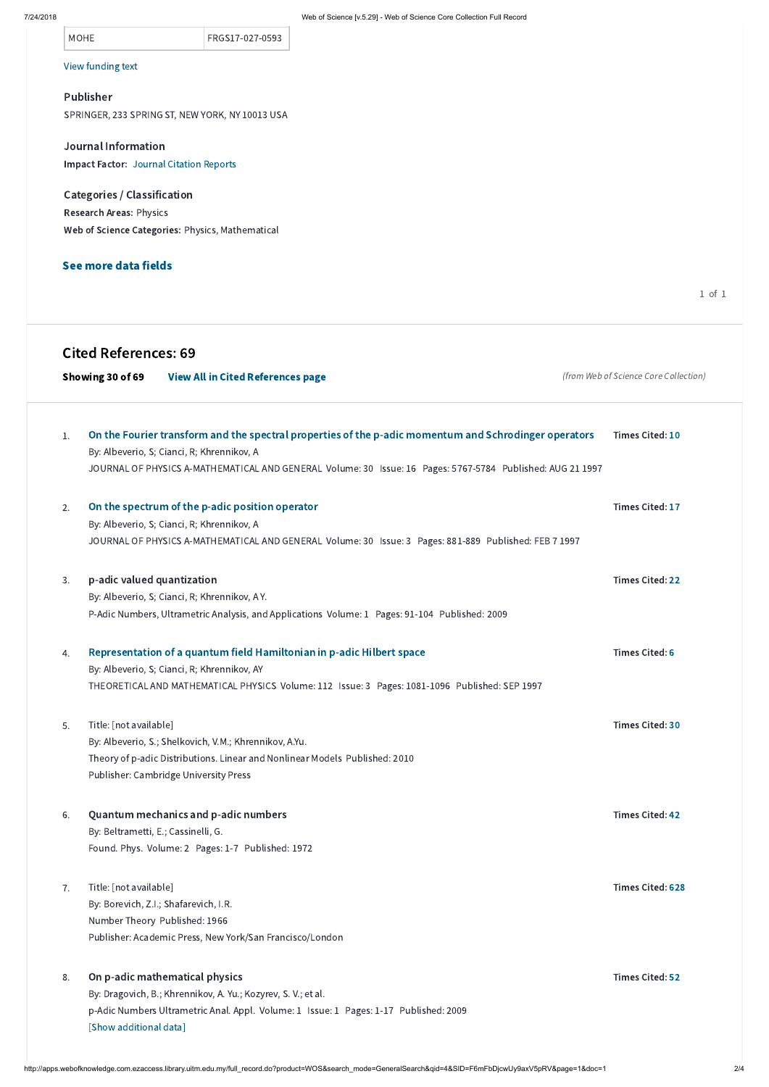| IVI V | $\overline{\phantom{a}}$<br>٧ | ш |  |
|-------|-------------------------------|---|--|
|       |                               |   |  |

## MOHE **FRGS17-027-0593**

### View [funding](javascript:hide_show() text

#### Publisher

SPRINGER, 233 SPRING ST, NEW YORK, NY 10013 USA

Journal Information Impact Factor: Journal [Citation](javascript:;) Reports

Categories / Classification Research Areas: Physics Web of Science Categories: Physics, Mathematical

## See more data fields

1 of 1

# Cited References: 69

|    | Showing 30 of 69           | <b>View All in Cited References page</b>                                                                                                                                                                                                                          | (from Web of Science Core Collection) |
|----|----------------------------|-------------------------------------------------------------------------------------------------------------------------------------------------------------------------------------------------------------------------------------------------------------------|---------------------------------------|
| 1. |                            | On the Fourier transform and the spectral properties of the p-adic momentum and Schrodinger operators<br>By: Albeverio, S; Cianci, R; Khrennikov, A<br>JOURNAL OF PHYSICS A-MATHEMATICAL AND GENERAL Volume: 30 Issue: 16 Pages: 5767-5784 Published: AUG 21 1997 | <b>Times Cited: 10</b>                |
| 2. |                            | On the spectrum of the p-adic position operator<br>By: Albeverio, S; Cianci, R; Khrennikov, A<br>JOURNAL OF PHYSICS A-MATHEMATICAL AND GENERAL Volume: 30 Issue: 3 Pages: 881-889 Published: FEB 7 1997                                                           | <b>Times Cited: 17</b>                |
| 3. | p-adic valued quantization | By: Albeverio, S; Cianci, R; Khrennikov, A Y.<br>P-Adic Numbers, Ultrametric Analysis, and Applications Volume: 1 Pages: 91-104 Published: 2009                                                                                                                   | <b>Times Cited: 22</b>                |
| 4. |                            | Representation of a quantum field Hamiltonian in p-adic Hilbert space<br>By: Albeverio, S; Cianci, R; Khrennikov, AY<br>THEORETICAL AND MATHEMATICAL PHYSICS Volume: 112 Issue: 3 Pages: 1081-1096 Published: SEP 1997                                            | <b>Times Cited: 6</b>                 |
| 5. | Title: [not available]     | By: Albeverio, S.; Shelkovich, V.M.; Khrennikov, A.Yu.<br>Theory of p-adic Distributions. Linear and Nonlinear Models Published: 2010<br><b>Publisher: Cambridge University Press</b>                                                                             | <b>Times Cited: 30</b>                |

By: Beltrametti, E.; Cassinelli, G.

## Found. Phys. Volume: 2 Pages: 1-7 Published: 1972

By: Borevich, Z.I.; Shafarevich, I.R. Number Theory Published: 1966

Publisher: Academic Press, New York/San Francisco/London

#### Quantum mechanics and p-adic numbers 6.

Times Cited: [628](http://apps.webofknowledge.com.ezaccess.library.uitm.edu.my/CitingArticles.do?product=WOS&SID=F6mFbDjcwUy9axV5pRV&search_mode=CitingArticles&parentProduct=WOS&parentQid=5&parentDoc=7&REFID=288530453&excludeEventConfig=ExcludeIfFromNonInterProduct)

Title: [not available] 7.

By: Dragovich, B.; Khrennikov, A. Yu.; Kozyrev, S. V.; et al.

#### On p-adic mathematical physics 8.

p-Adic Numbers Ultrametric Anal. Appl. Volume: 1 Issue: 1 Pages: 1-17 Published: 2009 [Show [additional](javascript:$() data]

Times Cited: [52](http://apps.webofknowledge.com.ezaccess.library.uitm.edu.my/CitingArticles.do?product=WOS&SID=F6mFbDjcwUy9axV5pRV&search_mode=CitingArticles&parentProduct=WOS&parentQid=5&parentDoc=8&REFID=338524446&excludeEventConfig=ExcludeIfFromNonInterProduct)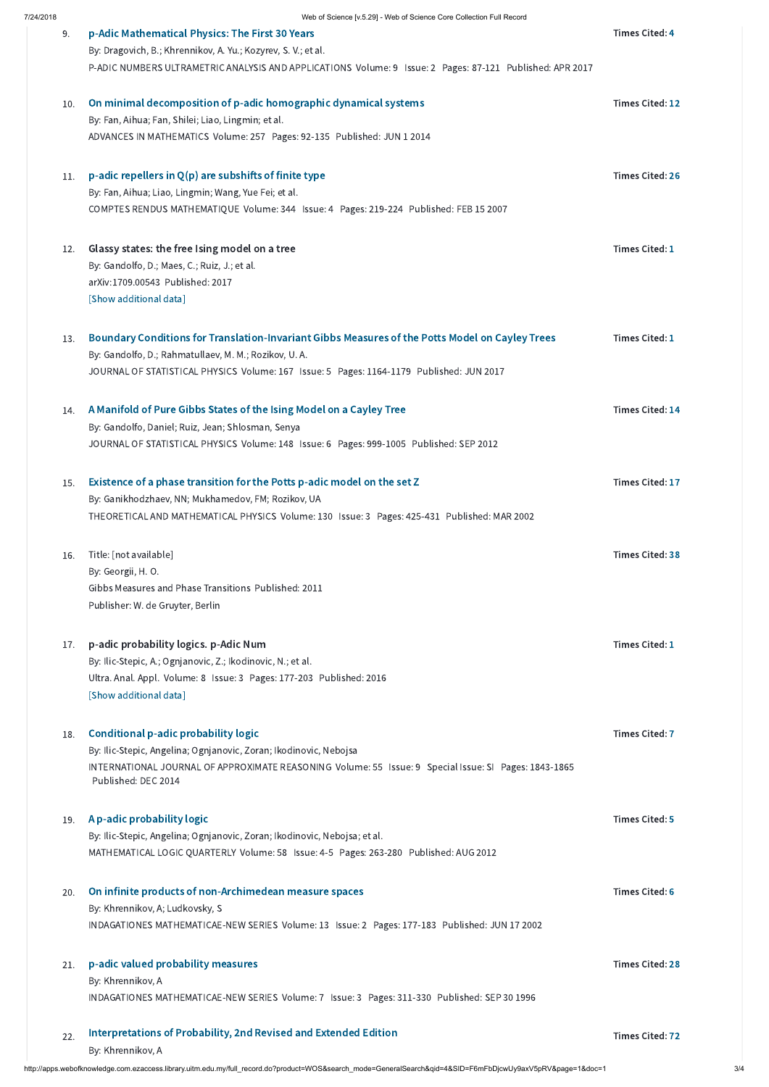http://apps.webofknowledge.com.ezaccess.library.uitm.edu.my/full\_record.do?product=WOS&search\_mode=GeneralSearch&qid=4&SID=F6mFbDjcwUy9axV5pRV&page=1&doc=1 3/4

| 9.  | p-Adic Mathematical Physics: The First 30 Years                                                                              | <b>Times Cited: 4</b>  |
|-----|------------------------------------------------------------------------------------------------------------------------------|------------------------|
|     | By: Dragovich, B.; Khrennikov, A. Yu.; Kozyrev, S. V.; et al.                                                                |                        |
|     | P-ADIC NUMBERS ULTRAMETRIC ANALYSIS AND APPLICATIONS Volume: 9 Issue: 2 Pages: 87-121 Published: APR 2017                    |                        |
| 10. | On minimal decomposition of p-adic homographic dynamical systems                                                             | <b>Times Cited: 12</b> |
|     | By: Fan, Aihua; Fan, Shilei; Liao, Lingmin; et al.                                                                           |                        |
|     | ADVANCES IN MATHEMATICS Volume: 257 Pages: 92-135 Published: JUN 1 2014                                                      |                        |
| 11. | p-adic repellers in $Q(p)$ are subshifts of finite type                                                                      | <b>Times Cited: 26</b> |
|     | By: Fan, Aihua; Liao, Lingmin; Wang, Yue Fei; et al.                                                                         |                        |
|     | COMPTES RENDUS MATHEMATIQUE Volume: 344 Issue: 4 Pages: 219-224 Published: FEB 15 2007                                       |                        |
| 12. | Glassy states: the free Ising model on a tree                                                                                | <b>Times Cited: 1</b>  |
|     | By: Gandolfo, D.; Maes, C.; Ruiz, J.; et al.                                                                                 |                        |
|     | arXiv:1709.00543 Published: 2017                                                                                             |                        |
|     | [Show additional data]                                                                                                       |                        |
| 13. | Boundary Conditions for Translation-Invariant Gibbs Measures of the Potts Model on Cayley Trees                              | <b>Times Cited: 1</b>  |
|     | By: Gandolfo, D.; Rahmatullaev, M. M.; Rozikov, U. A.                                                                        |                        |
|     | JOURNAL OF STATISTICAL PHYSICS Volume: 167 Issue: 5 Pages: 1164-1179 Published: JUN 2017                                     |                        |
| 14. | A Manifold of Pure Gibbs States of the Ising Model on a Cayley Tree                                                          | <b>Times Cited: 14</b> |
|     | By: Gandolfo, Daniel; Ruiz, Jean; Shlosman, Senya                                                                            |                        |
|     | JOURNAL OF STATISTICAL PHYSICS Volume: 148 Issue: 6 Pages: 999-1005 Published: SEP 2012                                      |                        |
| 15. | Existence of a phase transition for the Potts p-adic model on the set Z                                                      | <b>Times Cited: 17</b> |
|     | By: Ganikhodzhaev, NN; Mukhamedov, FM; Rozikov, UA                                                                           |                        |
|     | THEORETICAL AND MATHEMATICAL PHYSICS Volume: 130 Issue: 3 Pages: 425-431 Published: MAR 2002                                 |                        |
| 16. | Title: [not available]                                                                                                       | <b>Times Cited: 38</b> |
|     | By: Georgii, H.O.                                                                                                            |                        |
|     | Gibbs Measures and Phase Transitions Published: 2011                                                                         |                        |
|     | Publisher: W. de Gruyter, Berlin                                                                                             |                        |
| 17. | p-adic probability logics. p-Adic Num                                                                                        | <b>Times Cited: 1</b>  |
|     | By: Ilic-Stepic, A.; Ognjanovic, Z.; Ikodinovic, N.; et al.                                                                  |                        |
|     | Ultra. Anal. Appl. Volume: 8 Issue: 3 Pages: 177-203 Published: 2016                                                         |                        |
|     | [Show additional data]                                                                                                       |                        |
| 18. | <b>Conditional p-adic probability logic</b>                                                                                  | <b>Times Cited: 7</b>  |
|     | By: Ilic-Stepic, Angelina; Ognjanovic, Zoran; Ikodinovic, Nebojsa                                                            |                        |
|     | INTERNATIONAL JOURNAL OF APPROXIMATE REASONING Volume: 55 Issue: 9 Special Issue: SI Pages: 1843-1865<br>Published: DEC 2014 |                        |
|     |                                                                                                                              |                        |

## 19. A p-adic [probability](http://apps.webofknowledge.com.ezaccess.library.uitm.edu.my/CitedFullRecord.do?product=WOS&colName=WOS&SID=F6mFbDjcwUy9axV5pRV&search_mode=CitedFullRecord&isickref=WOS:000307068100005) logic

By: Ilic-Stepic, Angelina; Ognjanovic, Zoran; Ikodinovic, Nebojsa; et al.

MATHEMATICAL LOGIC QUARTERLY Volume: 58 Issue: 4-5 Pages: 263-280 Published: AUG 2012

Times Cited: [5](http://apps.webofknowledge.com.ezaccess.library.uitm.edu.my/CitingArticles.do?product=WOS&SID=F6mFbDjcwUy9axV5pRV&search_mode=CitingArticles&parentProduct=WOS&parentQid=5&parentDoc=19&REFID=436220766&excludeEventConfig=ExcludeIfFromNonInterProduct)

By: Khrennikov, A; Ludkovsky, S

INDAGATIONES MATHEMATICAE-NEW SERIES Volume: 13 Issue: 2 Pages: 177-183 Published: JUN 17 2002

Times Cited: [6](http://apps.webofknowledge.com.ezaccess.library.uitm.edu.my/CitingArticles.do?product=WOS&SID=F6mFbDjcwUy9axV5pRV&search_mode=CitingArticles&parentProduct=WOS&parentQid=5&parentDoc=20&REFID=29486895&excludeEventConfig=ExcludeIfFromNonInterProduct)

By: Khrennikov, A

#### On infinite products of [non-Archimedean](http://apps.webofknowledge.com.ezaccess.library.uitm.edu.my/CitedFullRecord.do?product=WOS&colName=WOS&SID=F6mFbDjcwUy9axV5pRV&search_mode=CitedFullRecord&isickref=WOS:000178764900003) measure spaces 20.

INDAGATIONES MATHEMATICAE-NEW SERIES Volume: 7 Issue: 3 Pages: 311-330 Published: SEP 30 1996

Times Cited: [28](http://apps.webofknowledge.com.ezaccess.library.uitm.edu.my/CitingArticles.do?product=WOS&SID=F6mFbDjcwUy9axV5pRV&search_mode=CitingArticles&parentProduct=WOS&parentQid=5&parentDoc=21&REFID=49415762&excludeEventConfig=ExcludeIfFromNonInterProduct)

#### p-adic valued [probability](http://apps.webofknowledge.com.ezaccess.library.uitm.edu.my/CitedFullRecord.do?product=WOS&colName=WOS&SID=F6mFbDjcwUy9axV5pRV&search_mode=CitedFullRecord&isickref=WOS:A1996VU63600003) measures 21.

By: Khrennikov, A

#### [Interpretations](http://apps.webofknowledge.com.ezaccess.library.uitm.edu.my/CitedFullRecord.do?product=WOS&colName=WOS&SID=F6mFbDjcwUy9axV5pRV&search_mode=CitedFullRecord&isickref=WOS:000275540600008) of Probability, 2nd Revised and Extended Edition 22.

Times Cited: [72](http://apps.webofknowledge.com.ezaccess.library.uitm.edu.my/CitingArticles.do?product=WOS&SID=F6mFbDjcwUy9axV5pRV&search_mode=CitingArticles&parentProduct=WOS&parentQid=5&parentDoc=22&REFID=471016924&excludeEventConfig=ExcludeIfFromNonInterProduct)